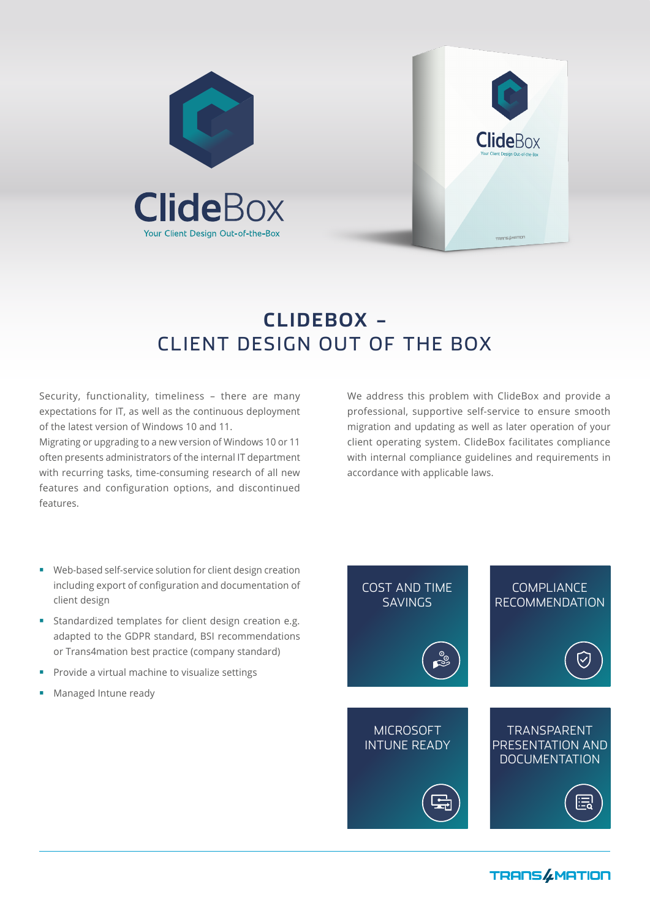



# **CLIDEBOX –**  CLIENT DESIGN OUT OF THE BOX

Security, functionality, timeliness – there are many expectations for IT, as well as the continuous deployment of the latest version of Windows 10 and 11.

Migrating or upgrading to a new version of Windows 10 or 11 often presents administrators of the internal IT department with recurring tasks, time-consuming research of all new features and configuration options, and discontinued features.

We address this problem with ClideBox and provide a professional, supportive self-service to ensure smooth migration and updating as well as later operation of your client operating system. ClideBox facilitates compliance with internal compliance guidelines and requirements in accordance with applicable laws.

- Web-based self-service solution for client design creation including export of configuration and documentation of client design
- **Standardized templates for client design creation e.g.** adapted to the GDPR standard, BSI recommendations or Trans4mation best practice (company standard)
- **Provide a virtual machine to visualize settings**
- **Managed Intune ready**



**TRANS &MATION**